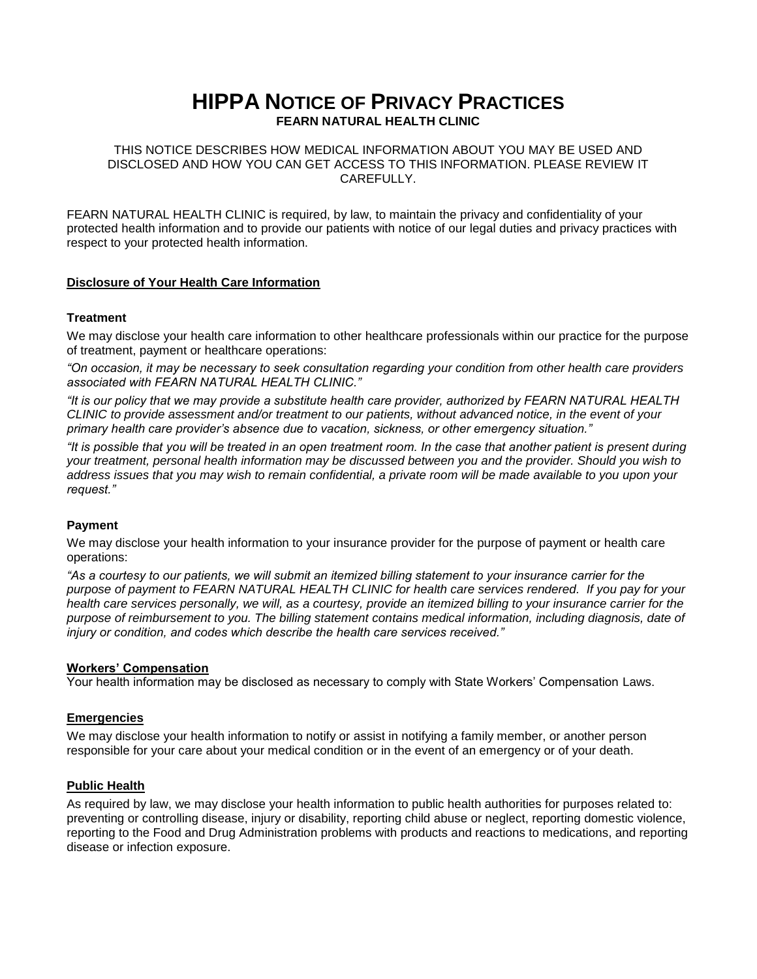# **HIPPA NOTICE OF PRIVACY PRACTICES FEARN NATURAL HEALTH CLINIC**

THIS NOTICE DESCRIBES HOW MEDICAL INFORMATION ABOUT YOU MAY BE USED AND DISCLOSED AND HOW YOU CAN GET ACCESS TO THIS INFORMATION. PLEASE REVIEW IT CAREFULLY.

FEARN NATURAL HEALTH CLINIC is required, by law, to maintain the privacy and confidentiality of your protected health information and to provide our patients with notice of our legal duties and privacy practices with respect to your protected health information.

# **Disclosure of Your Health Care Information**

### **Treatment**

We may disclose your health care information to other healthcare professionals within our practice for the purpose of treatment, payment or healthcare operations:

*"On occasion, it may be necessary to seek consultation regarding your condition from other health care providers associated with FEARN NATURAL HEALTH CLINIC."*

*"It is our policy that we may provide a substitute health care provider, authorized by FEARN NATURAL HEALTH CLINIC to provide assessment and/or treatment to our patients, without advanced notice, in the event of your primary health care provider's absence due to vacation, sickness, or other emergency situation."*

*"It is possible that you will be treated in an open treatment room. In the case that another patient is present during your treatment, personal health information may be discussed between you and the provider. Should you wish to address issues that you may wish to remain confidential, a private room will be made available to you upon your request."*

### **Payment**

We may disclose your health information to your insurance provider for the purpose of payment or health care operations:

*"As a courtesy to our patients, we will submit an itemized billing statement to your insurance carrier for the purpose of payment to FEARN NATURAL HEALTH CLINIC for health care services rendered. If you pay for your health care services personally, we will, as a courtesy, provide an itemized billing to your insurance carrier for the purpose of reimbursement to you. The billing statement contains medical information, including diagnosis, date of injury or condition, and codes which describe the health care services received."*

### **Workers' Compensation**

Your health information may be disclosed as necessary to comply with State Workers' Compensation Laws.

### **Emergencies**

We may disclose your health information to notify or assist in notifying a family member, or another person responsible for your care about your medical condition or in the event of an emergency or of your death.

#### **Public Health**

As required by law, we may disclose your health information to public health authorities for purposes related to: preventing or controlling disease, injury or disability, reporting child abuse or neglect, reporting domestic violence, reporting to the Food and Drug Administration problems with products and reactions to medications, and reporting disease or infection exposure.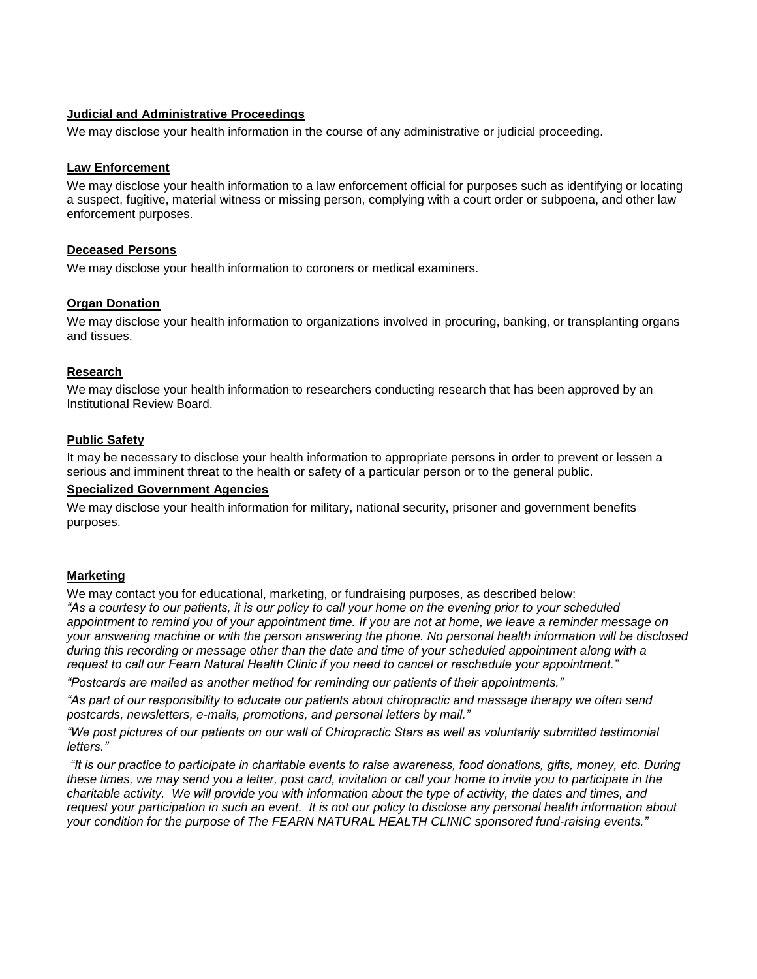# **Judicial and Administrative Proceedings**

We may disclose your health information in the course of any administrative or judicial proceeding.

# **Law Enforcement**

We may disclose your health information to a law enforcement official for purposes such as identifying or locating a suspect, fugitive, material witness or missing person, complying with a court order or subpoena, and other law enforcement purposes.

# **Deceased Persons**

We may disclose your health information to coroners or medical examiners.

# **Organ Donation**

We may disclose your health information to organizations involved in procuring, banking, or transplanting organs and tissues.

### **Research**

We may disclose your health information to researchers conducting research that has been approved by an Institutional Review Board.

# **Public Safety**

It may be necessary to disclose your health information to appropriate persons in order to prevent or lessen a serious and imminent threat to the health or safety of a particular person or to the general public.

# **Specialized Government Agencies**

We may disclose your health information for military, national security, prisoner and government benefits purposes.

### **Marketing**

We may contact you for educational, marketing, or fundraising purposes, as described below: *"As a courtesy to our patients, it is our policy to call your home on the evening prior to your scheduled appointment to remind you of your appointment time. If you are not at home, we leave a reminder message on your answering machine or with the person answering the phone. No personal health information will be disclosed during this recording or message other than the date and time of your scheduled appointment along with a request to call our Fearn Natural Health Clinic if you need to cancel or reschedule your appointment."*

*"Postcards are mailed as another method for reminding our patients of their appointments."*

*"As part of our responsibility to educate our patients about chiropractic and massage therapy we often send postcards, newsletters, e-mails, promotions, and personal letters by mail."*

*"We post pictures of our patients on our wall of Chiropractic Stars as well as voluntarily submitted testimonial letters."*

*"It is our practice to participate in charitable events to raise awareness, food donations, gifts, money, etc. During these times, we may send you a letter, post card, invitation or call your home to invite you to participate in the charitable activity. We will provide you with information about the type of activity, the dates and times, and*  request your participation in such an event. It is not our policy to disclose any personal health information about *your condition for the purpose of The FEARN NATURAL HEALTH CLINIC sponsored fund-raising events."*